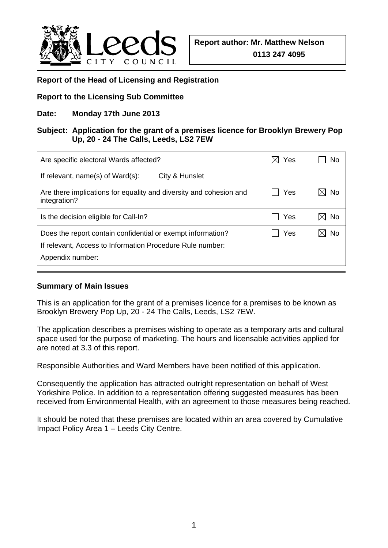

### **Report of the Head of Licensing and Registration**

## **Report to the Licensing Sub Committee**

## **Date: Monday 17th June 2013**

### **Subject: Application for the grant of a premises licence for Brooklyn Brewery Pop Up, 20 - 24 The Calls, Leeds, LS2 7EW**

| Are specific electoral Wards affected?                                                                                   | Yes | No |
|--------------------------------------------------------------------------------------------------------------------------|-----|----|
| If relevant, name(s) of Ward(s):<br>City & Hunslet                                                                       |     |    |
| Are there implications for equality and diversity and cohesion and<br>integration?                                       | Yes | No |
| Is the decision eligible for Call-In?                                                                                    | Yes | No |
| Does the report contain confidential or exempt information?<br>If relevant, Access to Information Procedure Rule number: | Yes | No |
| Appendix number:                                                                                                         |     |    |

#### **Summary of Main Issues**

This is an application for the grant of a premises licence for a premises to be known as Brooklyn Brewery Pop Up, 20 - 24 The Calls, Leeds, LS2 7EW.

The application describes a premises wishing to operate as a temporary arts and cultural space used for the purpose of marketing. The hours and licensable activities applied for are noted at 3.3 of this report.

Responsible Authorities and Ward Members have been notified of this application.

Consequently the application has attracted outright representation on behalf of West Yorkshire Police. In addition to a representation offering suggested measures has been received from Environmental Health, with an agreement to those measures being reached.

It should be noted that these premises are located within an area covered by Cumulative Impact Policy Area 1 – Leeds City Centre.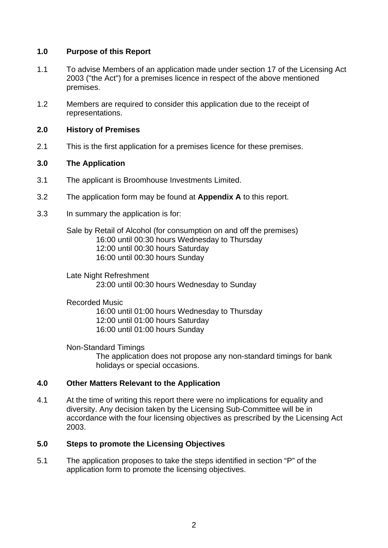## **1.0 Purpose of this Report**

- 1.1 To advise Members of an application made under section 17 of the Licensing Act 2003 ("the Act") for a premises licence in respect of the above mentioned premises.
- 1.2 Members are required to consider this application due to the receipt of representations.

### **2.0 History of Premises**

2.1 This is the first application for a premises licence for these premises.

## **3.0 The Application**

- 3.1 The applicant is Broomhouse Investments Limited.
- 3.2 The application form may be found at **Appendix A** to this report.
- 3.3 In summary the application is for:

Sale by Retail of Alcohol (for consumption on and off the premises) 16:00 until 00:30 hours Wednesday to Thursday 12:00 until 00:30 hours Saturday 16:00 until 00:30 hours Sunday

Late Night Refreshment 23:00 until 00:30 hours Wednesday to Sunday

### Recorded Music

 16:00 until 01:00 hours Wednesday to Thursday 12:00 until 01:00 hours Saturday 16:00 until 01:00 hours Sunday

Non-Standard Timings The application does not propose any non-standard timings for bank holidays or special occasions.

# **4.0 Other Matters Relevant to the Application**

4.1 At the time of writing this report there were no implications for equality and diversity. Any decision taken by the Licensing Sub-Committee will be in accordance with the four licensing objectives as prescribed by the Licensing Act 2003.

# **5.0 Steps to promote the Licensing Objectives**

5.1 The application proposes to take the steps identified in section "P" of the application form to promote the licensing objectives.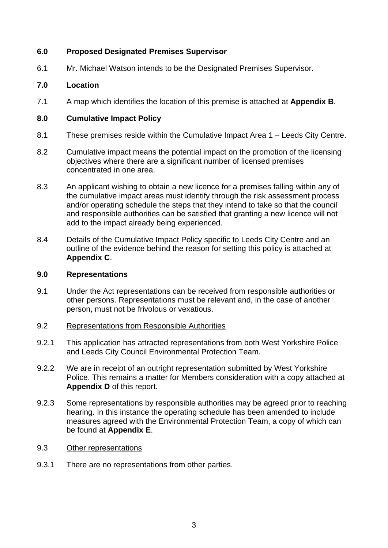## **6.0 Proposed Designated Premises Supervisor**

6.1 Mr. Michael Watson intends to be the Designated Premises Supervisor.

### **7.0 Location**

7.1 A map which identifies the location of this premise is attached at **Appendix B**.

### **8.0 Cumulative Impact Policy**

- 8.1 These premises reside within the Cumulative Impact Area 1 Leeds City Centre.
- 8.2 Cumulative impact means the potential impact on the promotion of the licensing objectives where there are a significant number of licensed premises concentrated in one area.
- 8.3 An applicant wishing to obtain a new licence for a premises falling within any of the cumulative impact areas must identify through the risk assessment process and/or operating schedule the steps that they intend to take so that the council and responsible authorities can be satisfied that granting a new licence will not add to the impact already being experienced.
- 8.4 Details of the Cumulative Impact Policy specific to Leeds City Centre and an outline of the evidence behind the reason for setting this policy is attached at **Appendix C**.

#### **9.0 Representations**

- 9.1 Under the Act representations can be received from responsible authorities or other persons. Representations must be relevant and, in the case of another person, must not be frivolous or vexatious.
- 9.2 Representations from Responsible Authorities
- 9.2.1 This application has attracted representations from both West Yorkshire Police and Leeds City Council Environmental Protection Team.
- 9.2.2 We are in receipt of an outright representation submitted by West Yorkshire Police. This remains a matter for Members consideration with a copy attached at **Appendix D** of this report.
- 9.2.3 Some representations by responsible authorities may be agreed prior to reaching hearing. In this instance the operating schedule has been amended to include measures agreed with the Environmental Protection Team, a copy of which can be found at **Appendix E**.
- 9.3 Other representations
- 9.3.1 There are no representations from other parties.